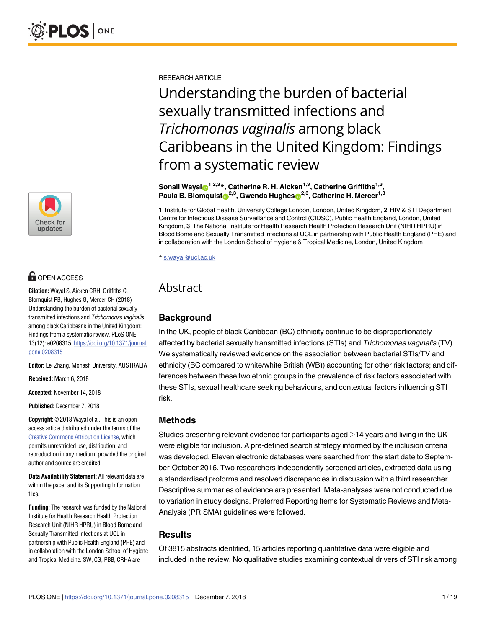

# **OPEN ACCESS**

**Citation:** Wayal S, Aicken CRH, Griffiths C, Blomquist PB, Hughes G, Mercer CH (2018) Understanding the burden of bacterial sexually transmitted infections and Trichomonas vaginalis among black Caribbeans in the United Kingdom: Findings from a systematic review. PLoS ONE 13(12): e0208315. [https://doi.org/10.1371/journal.](https://doi.org/10.1371/journal.pone.0208315) [pone.0208315](https://doi.org/10.1371/journal.pone.0208315)

**Editor:** Lei Zhang, Monash University, AUSTRALIA

**Received:** March 6, 2018

**Accepted:** November 14, 2018

**Published:** December 7, 2018

**Copyright:** © 2018 Wayal et al. This is an open access article distributed under the terms of the Creative Commons [Attribution](http://creativecommons.org/licenses/by/4.0/) License, which permits unrestricted use, distribution, and reproduction in any medium, provided the original author and source are credited.

**Data Availability Statement:** All relevant data are within the paper and its Supporting Information files.

**Funding:** The research was funded by the National Institute for Health Research Health Protection Research Unit (NIHR HPRU) in Blood Borne and Sexually Transmitted Infections at UCL in partnership with Public Health England (PHE) and in collaboration with the London School of Hygiene and Tropical Medicine. SW, CG, PBB, CRHA are

RESEARCH ARTICLE

Understanding the burden of bacterial sexually transmitted infections and *Trichomonas vaginalis* among black Caribbeans in the United Kingdom: Findings from a systematic review

**Sonali Wayal**<sup>1,2,3</sup><sup>\*</sup>, Catherine R. H. Aicken<sup>1,3</sup>, Catherine Griffiths<sup>1,3</sup>, **Paula B. Blomquist**<sup>2,3</sup>, Gwenda Hughes<sup>2,3</sup>, Catherine H. Mercer<sup>1,3</sup>

**1** Institute for Global Health, University College London, London, United Kingdom, **2** HIV & STI Department, Centre for Infectious Disease Surveillance and Control (CIDSC), Public Health England, London, United Kingdom, **3** The National Institute for Health Research Health Protection Research Unit (NIHR HPRU) in Blood Borne and Sexually Transmitted Infections at UCL in partnership with Public Health England (PHE) and in collaboration with the London School of Hygiene & Tropical Medicine, London, United Kingdom

\* s.wayal@ucl.ac.uk

# Abstract

# **Background**

In the UK, people of black Caribbean (BC) ethnicity continue to be disproportionately affected by bacterial sexually transmitted infections (STIs) and Trichomonas vaginalis (TV). We systematically reviewed evidence on the association between bacterial STIs/TV and ethnicity (BC compared to white/white British (WB)) accounting for other risk factors; and differences between these two ethnic groups in the prevalence of risk factors associated with these STIs, sexual healthcare seeking behaviours, and contextual factors influencing STI risk.

# **Methods**

Studies presenting relevant evidence for participants aged  $\geq$  14 years and living in the UK were eligible for inclusion. A pre-defined search strategy informed by the inclusion criteria was developed. Eleven electronic databases were searched from the start date to September-October 2016. Two researchers independently screened articles, extracted data using a standardised proforma and resolved discrepancies in discussion with a third researcher. Descriptive summaries of evidence are presented. Meta-analyses were not conducted due to variation in study designs. Preferred Reporting Items for Systematic Reviews and Meta-Analysis (PRISMA) guidelines were followed.

# **Results**

Of 3815 abstracts identified, 15 articles reporting quantitative data were eligible and included in the review. No qualitative studies examining contextual drivers of STI risk among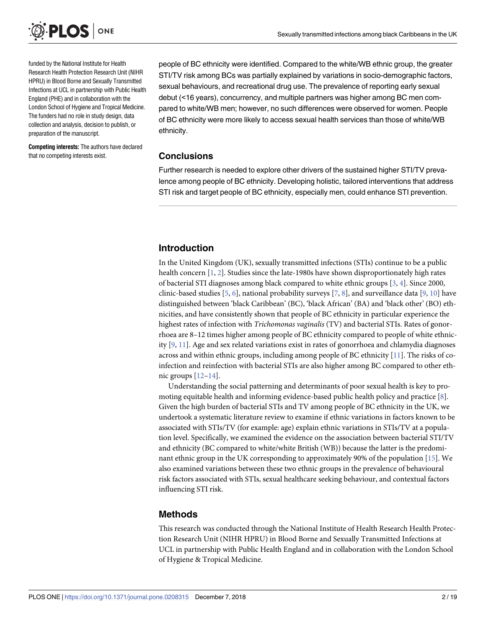<span id="page-1-0"></span>

funded by the National Institute for Health Research Health Protection Research Unit (NIHR HPRU) in Blood Borne and Sexually Transmitted Infections at UCL in partnership with Public Health England (PHE) and in collaboration with the London School of Hygiene and Tropical Medicine. The funders had no role in study design, data collection and analysis, decision to publish, or preparation of the manuscript.

**Competing interests:** The authors have declared that no competing interests exist.

people of BC ethnicity were identified. Compared to the white/WB ethnic group, the greater STI/TV risk among BCs was partially explained by variations in socio-demographic factors, sexual behaviours, and recreational drug use. The prevalence of reporting early sexual debut (<16 years), concurrency, and multiple partners was higher among BC men compared to white/WB men; however, no such differences were observed for women. People of BC ethnicity were more likely to access sexual health services than those of white/WB ethnicity.

# **Conclusions**

Further research is needed to explore other drivers of the sustained higher STI/TV prevalence among people of BC ethnicity. Developing holistic, tailored interventions that address STI risk and target people of BC ethnicity, especially men, could enhance STI prevention.

# **Introduction**

In the United Kingdom (UK), sexually transmitted infections (STIs) continue to be a public health concern [[1,](#page-16-0) [2\]](#page-16-0). Studies since the late-1980s have shown disproportionately high rates of bacterial STI diagnoses among black compared to white ethnic groups [\[3](#page-17-0), [4](#page-17-0)]. Since 2000, clinic-based studies [\[5,](#page-17-0) [6](#page-17-0)], national probability surveys [\[7,](#page-17-0) [8](#page-17-0)], and surveillance data [\[9](#page-17-0), [10](#page-17-0)] have distinguished between 'black Caribbean' (BC), 'black African' (BA) and 'black other' (BO) ethnicities, and have consistently shown that people of BC ethnicity in particular experience the highest rates of infection with *Trichomonas vaginalis* (TV) and bacterial STIs. Rates of gonorrhoea are 8–12 times higher among people of BC ethnicity compared to people of white ethnicity  $[9, 11]$  $[9, 11]$  $[9, 11]$  $[9, 11]$ . Age and sex related variations exist in rates of gonorrhoea and chlamydia diagnoses across and within ethnic groups, including among people of BC ethnicity [[11](#page-17-0)]. The risks of coinfection and reinfection with bacterial STIs are also higher among BC compared to other ethnic groups [[12–14\]](#page-17-0).

Understanding the social patterning and determinants of poor sexual health is key to promoting equitable health and informing evidence-based public health policy and practice [[8\]](#page-17-0). Given the high burden of bacterial STIs and TV among people of BC ethnicity in the UK, we undertook a systematic literature review to examine if ethnic variations in factors known to be associated with STIs/TV (for example: age) explain ethnic variations in STIs/TV at a population level. Specifically, we examined the evidence on the association between bacterial STI/TV and ethnicity (BC compared to white/white British (WB)) because the latter is the predominant ethnic group in the UK corresponding to approximately 90% of the population [\[15\]](#page-17-0). We also examined variations between these two ethnic groups in the prevalence of behavioural risk factors associated with STIs, sexual healthcare seeking behaviour, and contextual factors influencing STI risk.

# **Methods**

This research was conducted through the National Institute of Health Research Health Protection Research Unit (NIHR HPRU) in Blood Borne and Sexually Transmitted Infections at UCL in partnership with Public Health England and in collaboration with the London School of Hygiene & Tropical Medicine.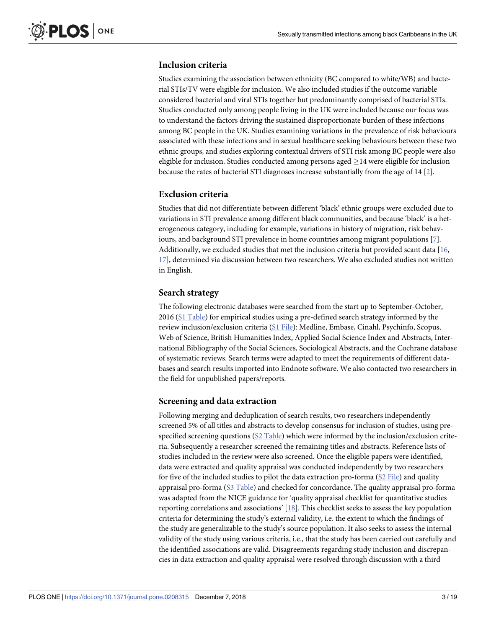# <span id="page-2-0"></span>**Inclusion criteria**

Studies examining the association between ethnicity (BC compared to white/WB) and bacterial STIs/TV were eligible for inclusion. We also included studies if the outcome variable considered bacterial and viral STIs together but predominantly comprised of bacterial STIs. Studies conducted only among people living in the UK were included because our focus was to understand the factors driving the sustained disproportionate burden of these infections among BC people in the UK. Studies examining variations in the prevalence of risk behaviours associated with these infections and in sexual healthcare seeking behaviours between these two ethnic groups, and studies exploring contextual drivers of STI risk among BC people were also eligible for inclusion. Studies conducted among persons aged  $\geq$  14 were eligible for inclusion because the rates of bacterial STI diagnoses increase substantially from the age of 14 [\[2\]](#page-16-0).

### **Exclusion criteria**

Studies that did not differentiate between different 'black' ethnic groups were excluded due to variations in STI prevalence among different black communities, and because 'black' is a heterogeneous category, including for example, variations in history of migration, risk behaviours, and background STI prevalence in home countries among migrant populations [[7](#page-17-0)]. Additionally, we excluded studies that met the inclusion criteria but provided scant data [[16](#page-17-0), [17\]](#page-17-0), determined via discussion between two researchers. We also excluded studies not written in English.

### **Search strategy**

The following electronic databases were searched from the start up to September-October, 2016 (S1 [Table\)](#page-15-0) for empirical studies using a pre-defined search strategy informed by the review inclusion/exclusion criteria (S1 [File](#page-16-0)): Medline, Embase, Cinahl, Psychinfo, Scopus, Web of Science, British Humanities Index, Applied Social Science Index and Abstracts, International Bibliography of the Social Sciences, Sociological Abstracts, and the Cochrane database of systematic reviews. Search terms were adapted to meet the requirements of different databases and search results imported into Endnote software. We also contacted two researchers in the field for unpublished papers/reports.

#### **Screening and data extraction**

Following merging and deduplication of search results, two researchers independently screened 5% of all titles and abstracts to develop consensus for inclusion of studies, using prespecified screening questions (S2 [Table](#page-16-0)) which were informed by the inclusion/exclusion criteria. Subsequently a researcher screened the remaining titles and abstracts. Reference lists of studies included in the review were also screened. Once the eligible papers were identified, data were extracted and quality appraisal was conducted independently by two researchers for five of the included studies to pilot the data extraction pro-forma (S2 [File](#page-16-0)) and quality appraisal pro-forma (S3 [Table](#page-16-0)) and checked for concordance. The quality appraisal pro-forma was adapted from the NICE guidance for 'quality appraisal checklist for quantitative studies reporting correlations and associations' [\[18\]](#page-17-0). This checklist seeks to assess the key population criteria for determining the study's external validity, i.e. the extent to which the findings of the study are generalizable to the study's source population. It also seeks to assess the internal validity of the study using various criteria, i.e., that the study has been carried out carefully and the identified associations are valid. Disagreements regarding study inclusion and discrepancies in data extraction and quality appraisal were resolved through discussion with a third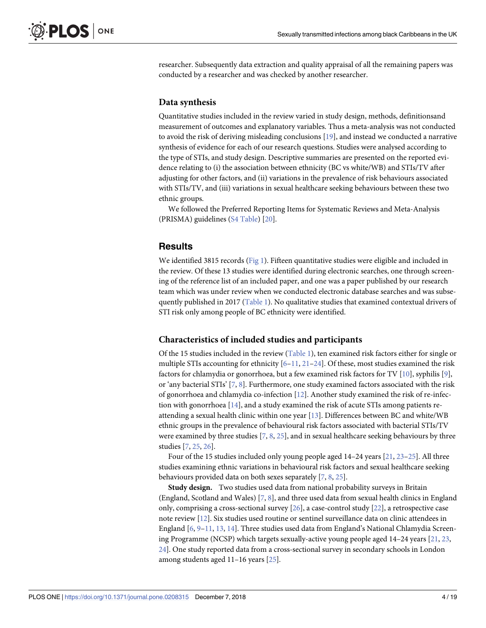<span id="page-3-0"></span>researcher. Subsequently data extraction and quality appraisal of all the remaining papers was conducted by a researcher and was checked by another researcher.

#### **Data synthesis**

Quantitative studies included in the review varied in study design, methods, definitionsand measurement of outcomes and explanatory variables. Thus a meta-analysis was not conducted to avoid the risk of deriving misleading conclusions [\[19\]](#page-17-0), and instead we conducted a narrative synthesis of evidence for each of our research questions. Studies were analysed according to the type of STIs, and study design. Descriptive summaries are presented on the reported evidence relating to (i) the association between ethnicity (BC vs white/WB) and STIs/TV after adjusting for other factors, and (ii) variations in the prevalence of risk behaviours associated with STIs/TV, and (iii) variations in sexual healthcare seeking behaviours between these two ethnic groups.

We followed the Preferred Reporting Items for Systematic Reviews and Meta-Analysis (PRISMA) guidelines (S4 [Table\)](#page-16-0) [[20](#page-17-0)].

### **Results**

We identified 3815 records [\(Fig](#page-4-0) 1). Fifteen quantitative studies were eligible and included in the review. Of these 13 studies were identified during electronic searches, one through screening of the reference list of an included paper, and one was a paper published by our research team which was under review when we conducted electronic database searches and was subsequently published in 2017 ([Table](#page-5-0) 1). No qualitative studies that examined contextual drivers of STI risk only among people of BC ethnicity were identified.

#### **Characteristics of included studies and participants**

Of the 15 studies included in the review ([Table](#page-5-0) 1), ten examined risk factors either for single or multiple STIs accounting for ethnicity  $[6-11, 21-24]$  $[6-11, 21-24]$  $[6-11, 21-24]$ . Of these, most studies examined the risk factors for chlamydia or gonorrhoea, but a few examined risk factors for TV [[10](#page-17-0)], syphilis [[9](#page-17-0)], or 'any bacterial STIs' [[7](#page-17-0), [8\]](#page-17-0). Furthermore, one study examined factors associated with the risk of gonorrhoea and chlamydia co-infection [[12](#page-17-0)]. Another study examined the risk of re-infection with gonorrhoea [[14](#page-17-0)], and a study examined the risk of acute STIs among patients reattending a sexual health clinic within one year [[13](#page-17-0)]. Differences between BC and white/WB ethnic groups in the prevalence of behavioural risk factors associated with bacterial STIs/TV were examined by three studies [\[7,](#page-17-0) [8](#page-17-0), [25](#page-18-0)], and in sexual healthcare seeking behaviours by three studies [\[7](#page-17-0), [25,](#page-18-0) [26\]](#page-18-0).

Four of the 15 studies included only young people aged 14–24 years [[21](#page-17-0), [23–25\]](#page-18-0). All three studies examining ethnic variations in behavioural risk factors and sexual healthcare seeking behaviours provided data on both sexes separately [\[7](#page-17-0), [8](#page-17-0), [25](#page-18-0)].

**Study design.** Two studies used data from national probability surveys in Britain (England, Scotland and Wales) [\[7](#page-17-0), [8](#page-17-0)], and three used data from sexual health clinics in England only, comprising a cross-sectional survey [[26](#page-18-0)], a case-control study [\[22\]](#page-18-0), a retrospective case note review [[12](#page-17-0)]. Six studies used routine or sentinel surveillance data on clinic attendees in England [\[6,](#page-17-0) [9–11,](#page-17-0) [13,](#page-17-0) [14\]](#page-17-0). Three studies used data from England's National Chlamydia Screening Programme (NCSP) which targets sexually-active young people aged 14–24 years [[21](#page-17-0), [23](#page-18-0), [24\]](#page-18-0). One study reported data from a cross-sectional survey in secondary schools in London among students aged 11–16 years [[25](#page-18-0)].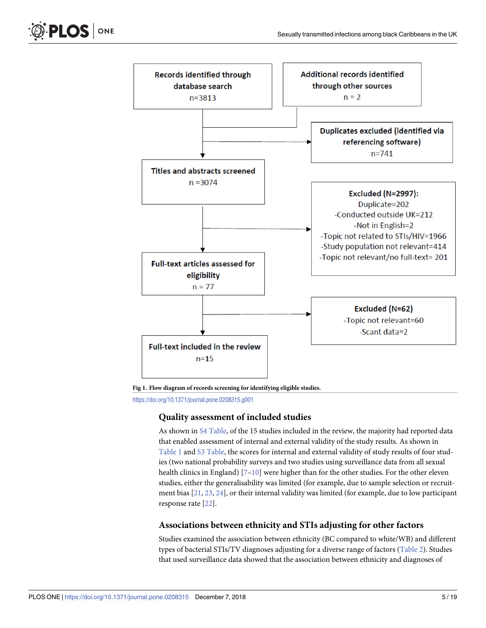<span id="page-4-0"></span>



**[Fig](#page-3-0) 1. Flow diagram of records screening for identifying eligible studies.**

<https://doi.org/10.1371/journal.pone.0208315.g001>

#### **Quality assessment of included studies**

As shown in S4 [Table](#page-16-0), of the 15 studies included in the review, the majority had reported data that enabled assessment of internal and external validity of the study results. As shown in [Table](#page-5-0) 1 and S3 [Table,](#page-16-0) the scores for internal and external validity of study results of four studies (two national probability surveys and two studies using surveillance data from all sexual health clinics in England)  $[7-10]$  were higher than for the other studies. For the other eleven studies, either the generalisability was limited (for example, due to sample selection or recruitment bias [\[21,](#page-17-0) [23,](#page-18-0) [24](#page-18-0)], or their internal validity was limited (for example, due to low participant response rate [\[22\]](#page-18-0).

# **Associations between ethnicity and STIs adjusting for other factors**

Studies examined the association between ethnicity (BC compared to white/WB) and different types of bacterial STIs/TV diagnoses adjusting for a diverse range of factors ([Table](#page-9-0) 2). Studies that used surveillance data showed that the association between ethnicity and diagnoses of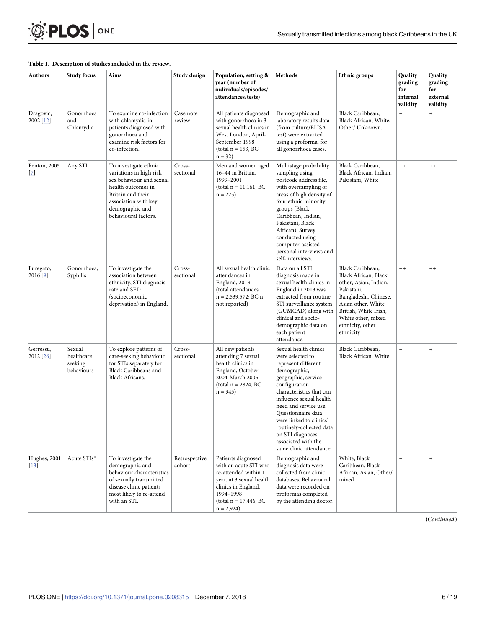<span id="page-5-0"></span>

#### **[Table](#page-3-0) 1. Description of studies included in the review.**

| <b>Authors</b>         | <b>Study focus</b>                            | Aims                                                                                                                                                                                       | Study design            | Population, setting &<br>year (number of<br>individuals/episodes/<br>attendances/tests)                                                                                        | Methods                                                                                                                                                                                                                                                                                                                                                                                                                                                                                                                         | Ethnic groups                                                                                                                             | Quality<br>grading<br>for<br>internal<br>validity | Quality<br>grading<br>for<br>external<br>validity |
|------------------------|-----------------------------------------------|--------------------------------------------------------------------------------------------------------------------------------------------------------------------------------------------|-------------------------|--------------------------------------------------------------------------------------------------------------------------------------------------------------------------------|---------------------------------------------------------------------------------------------------------------------------------------------------------------------------------------------------------------------------------------------------------------------------------------------------------------------------------------------------------------------------------------------------------------------------------------------------------------------------------------------------------------------------------|-------------------------------------------------------------------------------------------------------------------------------------------|---------------------------------------------------|---------------------------------------------------|
| Dragovic,<br>2002 [12] | Gonorrhoea<br>and<br>Chlamydia                | To examine co-infection<br>with chlamydia in<br>patients diagnosed with<br>gonorrhoea and<br>examine risk factors for<br>co-infection.                                                     | Case note<br>review     | All patients diagnosed<br>with gonorrhoea in 3<br>sexual health clinics in<br>West London, April-<br>September 1998<br>$(total n = 153, BC)$<br>$n = 32$                       | Demographic and<br>laboratory results data<br>(from culture/ELISA<br>test) were extracted<br>using a proforma, for<br>all gonorrhoea cases.                                                                                                                                                                                                                                                                                                                                                                                     | Black Caribbean,<br>Black African, White,<br>Other/ Unknown.                                                                              | $^{+}$                                            | $\ddot{}$                                         |
| Fenton, 2005<br>$[7]$  | Any STI                                       | To investigate ethnic<br>variations in high risk<br>sex behaviour and sexual<br>health outcomes in<br>Britain and their<br>association with key<br>demographic and<br>behavioural factors. | Cross-<br>sectional     | Men and women aged<br>16-44 in Britain,<br>1999-2001<br>$(total n = 11,161; BC)$<br>$n = 225$                                                                                  | Multistage probability<br>Black Caribbean,<br>sampling using<br>Black African, Indian,<br>postcode address file,<br>Pakistani, White<br>with oversampling of<br>areas of high density of<br>four ethnic minority<br>groups (Black<br>Caribbean, Indian,<br>Pakistani, Black<br>African). Survey<br>conducted using<br>computer-assisted<br>personal interviews and<br>self-interviews.<br>Black Caribbean,<br>Data on all STI<br>Black African, Black<br>diagnosis made in<br>sexual health clinics in<br>other, Asian, Indian, |                                                                                                                                           | $^{++}$                                           | $^{++}$                                           |
| Furegato,<br>2016 [9]  | Gonorrhoea,<br>Syphilis                       | To investigate the<br>association between<br>ethnicity, STI diagnosis<br>rate and SED<br>(socioeconomic<br>deprivation) in England.                                                        | Cross-<br>sectional     | All sexual health clinic<br>attendances in<br>England, 2013<br>(total attendances<br>$n = 2,539,572$ ; BC n<br>not reported)                                                   | England in 2013 was<br>extracted from routine<br>STI surveillance system<br>(GUMCAD) along with<br>clinical and socio-<br>demographic data on<br>each patient<br>attendance.                                                                                                                                                                                                                                                                                                                                                    | Pakistani,<br>Bangladeshi, Chinese,<br>Asian other, White<br>British, White Irish,<br>White other, mixed<br>ethnicity, other<br>ethnicity | $^{++}$                                           | $^{++}$                                           |
| Gerressu,<br>2012 [26] | Sexual<br>healthcare<br>seeking<br>behaviours | To explore patterns of<br>care-seeking behaviour<br>for STIs separately for<br>Black Caribbeans and<br><b>Black Africans.</b>                                                              | Cross-<br>sectional     | All new patients<br>attending 7 sexual<br>health clinics in<br>England, October<br>2004-March 2005<br>$total n = 2824, BC$<br>$n = 345$                                        | Black Caribbean,<br>Sexual health clinics<br>were selected to<br>Black African, White<br>represent different<br>demographic,<br>geographic, service<br>configuration<br>characteristics that can<br>influence sexual health<br>need and service use.<br>Questionnaire data<br>were linked to clinics'<br>routinely-collected data<br>on STI diagnoses<br>associated with the<br>same clinic attendance.                                                                                                                         |                                                                                                                                           | $\ddot{}$                                         | $\qquad \qquad +$                                 |
| Hughes, 2001<br>$[13]$ | Acute STIs*                                   | To investigate the<br>demographic and<br>behaviour characteristics<br>of sexually transmitted<br>disease clinic patients<br>most likely to re-attend<br>with an STI.                       | Retrospective<br>cohort | Patients diagnosed<br>with an acute STI who<br>re-attended within 1<br>year, at 3 sexual health<br>clinics in England,<br>1994-1998<br>$(total n = 17,446, BC)$<br>$n = 2,924$ | Demographic and<br>diagnosis data were<br>collected from clinic<br>databases. Behavioural<br>data were recorded on<br>proformas completed<br>by the attending doctor.                                                                                                                                                                                                                                                                                                                                                           | White, Black<br>Caribbean, Black<br>African, Asian, Other/<br>mixed                                                                       | $^{+}$                                            | $\ddot{}$                                         |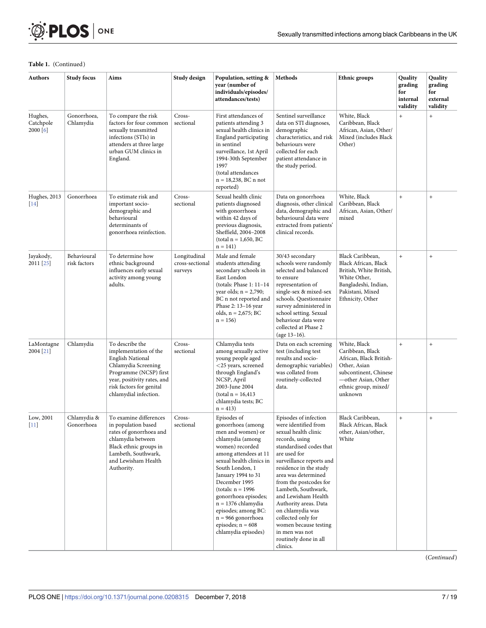

#### **Table 1.** (Continued)

| <b>Authors</b>                   | <b>Study focus</b>          | Aims                                                                                                                                                                                                     | Study design<br>Population, setting &<br>Methods<br>Ethnic groups<br>year (number of<br>individuals/episodes/<br>attendances/tests) |                                                                                                                                                                                                                                                                                                                                                                                 |                                                                                                                                                                                                                                                                                                                                                                                                                                            |                                                                                                                                                                | Quality<br>grading<br>for<br>internal<br>validity | <b>Quality</b><br>grading<br>for<br>external<br>validity |
|----------------------------------|-----------------------------|----------------------------------------------------------------------------------------------------------------------------------------------------------------------------------------------------------|-------------------------------------------------------------------------------------------------------------------------------------|---------------------------------------------------------------------------------------------------------------------------------------------------------------------------------------------------------------------------------------------------------------------------------------------------------------------------------------------------------------------------------|--------------------------------------------------------------------------------------------------------------------------------------------------------------------------------------------------------------------------------------------------------------------------------------------------------------------------------------------------------------------------------------------------------------------------------------------|----------------------------------------------------------------------------------------------------------------------------------------------------------------|---------------------------------------------------|----------------------------------------------------------|
| Hughes,<br>Catchpole<br>2000 [6] | Gonorrhoea,<br>Chlamydia    | To compare the risk<br>factors for four common<br>sexually transmitted<br>infections (STIs) in<br>attenders at three large<br>urban GUM clinics in<br>England.                                           | Cross-<br>sectional                                                                                                                 | First attendances of<br>patients attending 3<br>sexual health clinics in<br>England participating<br>in sentinel<br>surveillance, 1st April<br>1994-30th September<br>1997<br>(total attendances<br>$n = 18,238, BCn not$<br>reported)                                                                                                                                          | Sentinel surveillance<br>data on STI diagnoses,<br>demographic<br>characteristics, and risk<br>behaviours were<br>collected for each<br>patient attendance in<br>the study period.                                                                                                                                                                                                                                                         | White, Black<br>Caribbean, Black<br>African, Asian, Other/<br>Mixed (includes Black<br>Other)                                                                  | $^{+}$                                            | $\ddot{}$                                                |
| Hughes, 2013<br>$[14]$           | Gonorrhoea                  | To estimate risk and<br>important socio-<br>demographic and<br>behavioural<br>determinants of<br>gonorrhoea reinfection.                                                                                 | Cross-<br>sectional                                                                                                                 | Sexual health clinic<br>patients diagnosed<br>with gonorrhoea<br>within 42 days of<br>previous diagnosis,<br>Sheffield, 2004-2008<br>$(total n = 1,650, BC)$<br>$n = 141$                                                                                                                                                                                                       | Data on gonorrhoea<br>diagnosis, other clinical<br>data, demographic and<br>behavioural data were<br>extracted from patients'<br>clinical records.                                                                                                                                                                                                                                                                                         | White, Black<br>Caribbean, Black<br>African, Asian, Other/<br>mixed                                                                                            | $+$                                               | $\qquad \qquad +$                                        |
| Jayakody,<br>2011 [25]           | Behavioural<br>risk factors | To determine how<br>ethnic background<br>influences early sexual<br>activity among young<br>adults.                                                                                                      | Longitudinal<br>cross-sectional<br>surveys                                                                                          | Male and female<br>students attending<br>secondary schools in<br>East London<br>(totals: Phase 1: 11-14<br>year olds; $n = 2,790$ ;<br>BC n not reported and<br>Phase 2: 13-16 year<br>olds, $n = 2,675$ ; BC<br>$n = 156$                                                                                                                                                      | 30/43 secondary<br>schools were randomly<br>selected and balanced<br>to ensure<br>representation of<br>single-sex & mixed-sex<br>schools. Questionnaire<br>survey administered in<br>school setting. Sexual<br>behaviour data were<br>collected at Phase 2<br>(age 13–16).                                                                                                                                                                 | Black Caribbean,<br>Black African, Black<br>British, White British,<br>White Other,<br>Bangladeshi, Indian,<br>Pakistani, Mixed<br>Ethnicity, Other            | $\ddot{}$                                         | $\qquad \qquad +$                                        |
| LaMontagne<br>2004 [21]          | Chlamydia                   | To describe the<br>implementation of the<br><b>English National</b><br>Chlamydia Screening<br>Programme (NCSP) first<br>year, positivity rates, and<br>risk factors for genital<br>chlamydial infection. | Cross-<br>sectional                                                                                                                 | Chlamydia tests<br>among sexually active<br>young people aged<br><25 years, screened<br>through England's<br>NCSP, April<br>2003-June 2004<br>$total n = 16,413$<br>chlamydia tests; BC<br>$n = 413$                                                                                                                                                                            | Data on each screening<br>test (including test<br>results and socio-<br>demographic variables)<br>was collated from<br>routinely-collected<br>data.                                                                                                                                                                                                                                                                                        | White, Black<br>Caribbean, Black<br>African, Black British-<br>Other, Asian<br>subcontinent, Chinese<br>-other Asian, Other<br>ethnic group, mixed/<br>unknown | $^{+}$                                            | $^{+}$                                                   |
| Low, 2001<br>$[11]$              | Chlamydia &<br>Gonorrhoea   | To examine differences<br>in population based<br>rates of gonorrhoea and<br>chlamydia between<br>Black ethnic groups in<br>Lambeth, Southwark,<br>and Lewisham Health<br>Authority.                      | Cross-<br>sectional                                                                                                                 | Episodes of<br>gonorrhoea (among<br>men and women) or<br>chlamydia (among<br>women) recorded<br>among attendees at 11<br>sexual health clinics in<br>South London, 1<br>January 1994 to 31<br>December 1995<br>(totals: $n = 1996$<br>gonorrhoea episodes;<br>$n = 1376$ chlamydia<br>episodes; among BC:<br>$n = 966$ gonorrhoea<br>episodes; $n = 608$<br>chlamydia episodes) | Episodes of infection<br>were identified from<br>sexual health clinic<br>records, using<br>standardised codes that<br>are used for<br>surveillance reports and<br>residence in the study<br>area was determined<br>from the postcodes for<br>Lambeth, Southwark,<br>and Lewisham Health<br>Authority areas. Data<br>on chlamydia was<br>collected only for<br>women because testing<br>in men was not<br>routinely done in all<br>clinics. | Black Caribbean,<br>Black African, Black<br>other, Asian/other,<br>White                                                                                       | $^{+}$                                            | $\qquad \qquad +$                                        |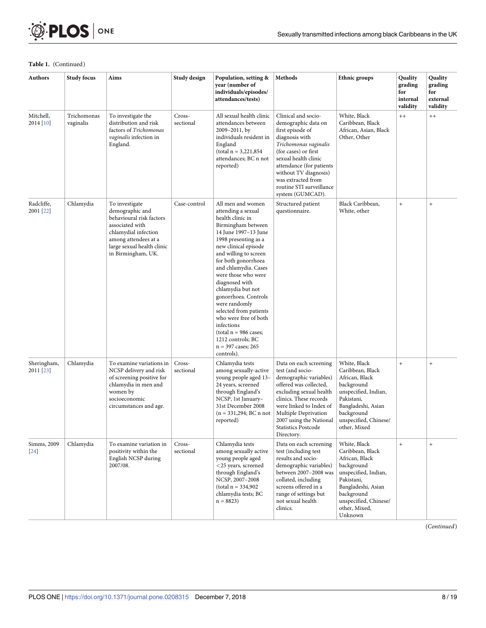

#### **Table 1.** (Continued)

| Authors                  | <b>Study focus</b>       | Aims                                                                                                                                                                                 | Study design        | Population, setting &<br>year (number of<br>individuals/episodes/<br>attendances/tests)                                                                                                                                                                                                                                                                                                                                                                                                        | Methods                                                                                                                                                                                                                                                                              | Ethnic groups                                                                                                                                                                                   | Quality<br>grading<br>for<br>internal<br>validity | Quality<br>grading<br>for<br>external<br>validity |
|--------------------------|--------------------------|--------------------------------------------------------------------------------------------------------------------------------------------------------------------------------------|---------------------|------------------------------------------------------------------------------------------------------------------------------------------------------------------------------------------------------------------------------------------------------------------------------------------------------------------------------------------------------------------------------------------------------------------------------------------------------------------------------------------------|--------------------------------------------------------------------------------------------------------------------------------------------------------------------------------------------------------------------------------------------------------------------------------------|-------------------------------------------------------------------------------------------------------------------------------------------------------------------------------------------------|---------------------------------------------------|---------------------------------------------------|
| Mitchell,<br>2014 [10]   | Trichomonas<br>vaginalis | To investigate the<br>distribution and risk<br>factors of Trichomonas<br>vaginalis infection in<br>England.                                                                          | Cross-<br>sectional | All sexual health clinic<br>attendances between<br>2009-2011, by<br>individuals resident in<br>England<br>$(total n = 3,221,854)$<br>attendances: BC n not<br>reported)                                                                                                                                                                                                                                                                                                                        | Clinical and socio-<br>demographic data on<br>first episode of<br>diagnosis with<br>Trichomonas vaginalis<br>(for cases) or first<br>sexual health clinic<br>attendance (for patients<br>without TV diagnosis)<br>was extracted from<br>routine STI surveillance<br>system (GUMCAD). | White, Black<br>Caribbean, Black<br>African, Asian, Black<br>Other, Other                                                                                                                       | $^{++}$                                           | $^{++}$                                           |
| Radcliffe,<br>2001 [22]  | Chlamydia                | To investigate<br>demographic and<br>behavioural risk factors<br>associated with<br>chlamydial infection<br>among attendees at a<br>large sexual health clinic<br>in Birmingham, UK. | Case-control        | All men and women<br>attending a sexual<br>health clinic in<br>Birmingham between<br>14 June 1997-13 June<br>1998 presenting as a<br>new clinical episode<br>and willing to screen<br>for both gonorrhoea<br>and chlamydia. Cases<br>were those who were<br>diagnosed with<br>chlamydia but not<br>gonorrhoea. Controls<br>were randomly<br>selected from patients<br>who were free of both<br>infections<br>$total n = 986 cases;$<br>1212 controls; BC<br>$n = 397$ cases; 265<br>controls). | Structured patient<br>questionnaire.                                                                                                                                                                                                                                                 | Black Caribbean,<br>White, other                                                                                                                                                                | $^{+}$                                            | $\qquad \qquad +$                                 |
| Sheringham,<br>2011 [23] | Chlamydia                | To examine variations in<br>NCSP delivery and risk<br>of screening positive for<br>chlamydia in men and<br>women by<br>socioeconomic<br>circumstances and age.                       | Cross-<br>sectional | Chlamydia tests<br>among sexually-active<br>young people aged 13-<br>24 years, screened<br>through England's<br>NCSP, 1st January-<br>31st December 2008<br>$(n = 331,294; BC n not)$<br>reported)                                                                                                                                                                                                                                                                                             | Data on each screening<br>test (and socio-<br>demographic variables)<br>offered was collected,<br>excluding sexual health<br>clinics. These records<br>were linked to Index of<br>Multiple Deprivation<br>2007 using the National<br><b>Statistics Postcode</b><br>Directory.        | White, Black<br>Caribbean, Black<br>African, Black<br>background<br>unspecified, Indian,<br>Pakistani,<br>Bangladeshi, Asian<br>background<br>unspecified, Chinese/<br>other, Mixed             | $\ddot{}$                                         | $^{+}$                                            |
| Simms, 2009<br>$[24]$    | Chlamydia                | To examine variation in<br>positivity within the<br>English NCSP during<br>2007/08.                                                                                                  | Cross-<br>sectional | Chlamydia tests<br>among sexually active<br>young people aged<br>$<$ 25 years, screened<br>through England's<br>NCSP, 2007-2008<br>$(total n = 334,902)$<br>chlamydia tests; BC<br>$n = 8823$                                                                                                                                                                                                                                                                                                  | Data on each screening<br>test (including test<br>results and socio-<br>demographic variables)<br>between 2007-2008 was<br>collated, including<br>screens offered in a<br>range of settings but<br>not sexual health<br>clinics.                                                     | White, Black<br>Caribbean, Black<br>African, Black<br>background<br>unspecified, Indian,<br>Pakistani,<br>Bangladeshi, Asian<br>background<br>unspecified, Chinese/<br>other, Mixed,<br>Unknown | $^{+}$                                            | $\ddot{}$                                         |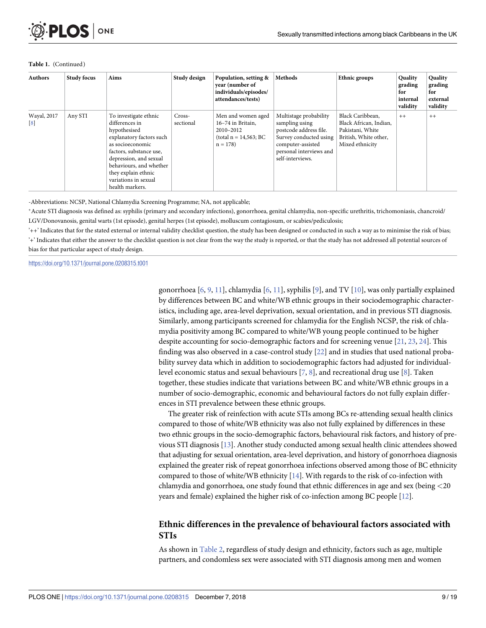#### **Table 1.** (Continued)

| <b>Authors</b>                   | <b>Study focus</b> | Aims                                                                                                                                                                                                                                                      | Study design        | Population, setting &<br>year (number of<br>individuals/episodes/<br>attendances/tests)        | <b>Methods</b>                                                                                                                                                   | <b>Ethnic groups</b>                                                                                       | <b>Quality</b><br>grading<br>for<br>internal<br>validity | Quality<br>grading<br>for<br>external<br>validity |
|----------------------------------|--------------------|-----------------------------------------------------------------------------------------------------------------------------------------------------------------------------------------------------------------------------------------------------------|---------------------|------------------------------------------------------------------------------------------------|------------------------------------------------------------------------------------------------------------------------------------------------------------------|------------------------------------------------------------------------------------------------------------|----------------------------------------------------------|---------------------------------------------------|
| Wayal, 2017<br>$\lceil 8 \rceil$ | Any STI            | To investigate ethnic<br>differences in<br>hypothesised<br>explanatory factors such<br>as socioeconomic<br>factors, substance use,<br>depression, and sexual<br>behaviours, and whether<br>they explain ethnic<br>variations in sexual<br>health markers. | Cross-<br>sectional | Men and women aged<br>16-74 in Britain,<br>2010-2012<br>$(total n = 14, 563; BC)$<br>$n = 178$ | Multistage probability<br>sampling using<br>postcode address file.<br>Survey conducted using<br>computer-assisted<br>personal interviews and<br>self-interviews. | Black Caribbean,<br>Black African, Indian,<br>Pakistani, White<br>British, White other,<br>Mixed ethnicity | $++$                                                     | $++$                                              |

-Abbreviations: NCSP, National Chlamydia Screening Programme; NA, not applicable;

�Acute STI diagnosis was defined as: syphilis (primary and secondary infections), gonorrhoea, genital chlamydia, non-specific urethritis, trichomoniasis, chancroid/ LGV/Donovanosis, genital warts (1st episode), genital herpes (1st episode), molluscum contagiosum, or scabies/pediculosis;

 $'++'$  Indicates that for the stated external or internal validity checklist question, the study has been designed or conducted in such a way as to minimise the risk of bias; '+' Indicates that either the answer to the checklist question is not clear from the way the study is reported, or that the study has not addressed all potential sources of bias for that particular aspect of study design.

<https://doi.org/10.1371/journal.pone.0208315.t001>

gonorrhoea  $[6, 9, 11]$  $[6, 9, 11]$  $[6, 9, 11]$  $[6, 9, 11]$  $[6, 9, 11]$  $[6, 9, 11]$ , chlamydia  $[6, 11]$  $[6, 11]$  $[6, 11]$  $[6, 11]$ , syphilis  $[9]$ , and TV  $[10]$  $[10]$  $[10]$ , was only partially explained by differences between BC and white/WB ethnic groups in their sociodemographic characteristics, including age, area-level deprivation, sexual orientation, and in previous STI diagnosis. Similarly, among participants screened for chlamydia for the English NCSP, the risk of chlamydia positivity among BC compared to white/WB young people continued to be higher despite accounting for socio-demographic factors and for screening venue [\[21,](#page-17-0) [23,](#page-18-0) [24\]](#page-18-0). This finding was also observed in a case-control study [\[22\]](#page-18-0) and in studies that used national probability survey data which in addition to sociodemographic factors had adjusted for individuallevel economic status and sexual behaviours [\[7,](#page-17-0) [8](#page-17-0)], and recreational drug use [[8](#page-17-0)]. Taken together, these studies indicate that variations between BC and white/WB ethnic groups in a number of socio-demographic, economic and behavioural factors do not fully explain differences in STI prevalence between these ethnic groups.

The greater risk of reinfection with acute STIs among BCs re-attending sexual health clinics compared to those of white/WB ethnicity was also not fully explained by differences in these two ethnic groups in the socio-demographic factors, behavioural risk factors, and history of previous STI diagnosis [[13\]](#page-17-0). Another study conducted among sexual health clinic attendees showed that adjusting for sexual orientation, area-level deprivation, and history of gonorrhoea diagnosis explained the greater risk of repeat gonorrhoea infections observed among those of BC ethnicity compared to those of white/WB ethnicity [[14](#page-17-0)]. With regards to the risk of co-infection with chlamydia and gonorrhoea, one study found that ethnic differences in age and sex (being *<*20 years and female) explained the higher risk of co-infection among BC people [\[12](#page-17-0)].

# **Ethnic differences in the prevalence of behavioural factors associated with STIs**

As shown in [Table](#page-9-0) 2, regardless of study design and ethnicity, factors such as age, multiple partners, and condomless sex were associated with STI diagnosis among men and women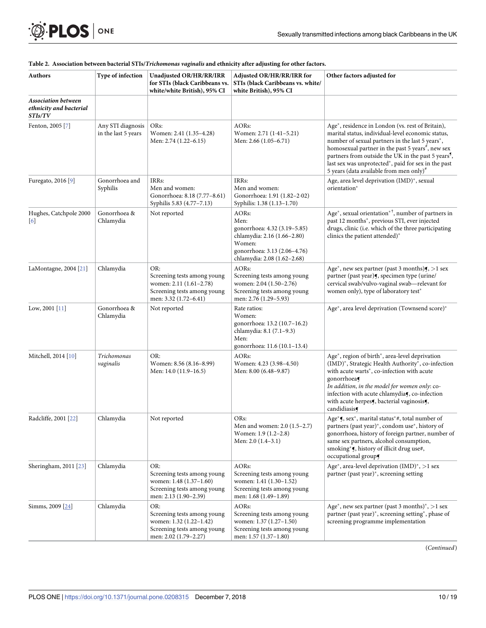#### <span id="page-9-0"></span>**[Table](#page-4-0) 2. Association between bacterial STIs/***Trichomonas vaginalis* **and ethnicity after adjusting for other factors.**

| Authors                                                          | Type of infection                        | Unadjusted OR/HR/RR/IRR<br>for STIs (black Caribbeans vs.<br>white/white British), 95% CI                              | Adjusted OR/HR/RR/IRR for<br>STIs (black Caribbeans vs. white/<br>white British), 95% CI                                                              | Other factors adjusted for                                                                                                                                                                                                                                                                                                                                                                                 |
|------------------------------------------------------------------|------------------------------------------|------------------------------------------------------------------------------------------------------------------------|-------------------------------------------------------------------------------------------------------------------------------------------------------|------------------------------------------------------------------------------------------------------------------------------------------------------------------------------------------------------------------------------------------------------------------------------------------------------------------------------------------------------------------------------------------------------------|
| <b>Association between</b><br>ethnicity and bacterial<br>STIs/TV |                                          |                                                                                                                        |                                                                                                                                                       |                                                                                                                                                                                                                                                                                                                                                                                                            |
| Fenton, 2005 [7]                                                 | Any STI diagnosis<br>in the last 5 years | ORs:<br>Women: 2.41 (1.35-4.28)<br>Men: 2.74 (1.22-6.15)                                                               | AORs:<br>Women: 2.71 (1.41-5.21)<br>Men: 2.66 (1.05-6.71)                                                                                             | Age*, residence in London (vs. rest of Britain),<br>marital status, individual-level economic status,<br>number of sexual partners in the last 5 years*,<br>homosexual partner in the past 5 years <sup>#</sup> , new sex<br>partners from outside the UK in the past 5 years <sup>5</sup> ,<br>last sex was unprotected*, paid for sex in the past<br>5 years (data available from men only) <sup>#</sup> |
| Furegato, 2016 [9]                                               | Gonorrhoea and<br>Syphilis               | IRRs:<br>Men and women:<br>Gonorrhoea: 8.18 (7.77-8.61)<br>Syphilis 5.83 (4.77-7.13)                                   | IRRs:<br>Men and women:<br>Gonorrhoea: 1.91 (1.82-2.02)<br>Syphilis: 1.38 (1.13-1.70)                                                                 | Age, area level deprivation (IMD)*, sexual<br>orientation*                                                                                                                                                                                                                                                                                                                                                 |
| Hughes, Catchpole 2000<br>$\lceil 6 \rceil$                      | Gonorrhoea &<br>Chlamydia                | Not reported                                                                                                           | AORs:<br>Men:<br>gonorrhoea: 4.32 (3.19-5.85)<br>chlamydia: 2.16 (1.66-2.80)<br>Women:<br>gonorrhoea: 3.13 (2.06-4.76)<br>chlamydia: 2.08 (1.62-2.68) | Age*, sexual orientation* <sup>†</sup> , number of partners in<br>past 12 months*, previous STI, ever injected<br>drugs, clinic (i.e. which of the three participating<br>clinics the patient attended)*                                                                                                                                                                                                   |
| LaMontagne, 2004 [21]                                            | Chlamydia                                | OR:<br>Screening tests among young<br>women: 2.11 (1.61-2.78)<br>Screening tests among young<br>men: 3.32 (1.72-6.41)  | AORs:<br>Screening tests among young<br>women: 2.04 (1.50-2.76)<br>Screening tests among young<br>men: 2.76 (1.29-5.93)                               | Age <sup>*</sup> , new sex partner (past 3 months) $\mathbf{y}$ , >1 sex<br>partner (past year), specimen type (urine/<br>cervical swab/vulvo-vaginal swab-relevant for<br>women only), type of laboratory test*                                                                                                                                                                                           |
| Low, 2001 [11]                                                   | Gonorrhoea &<br>Chlamydia                | Not reported                                                                                                           | Rate ratios:<br>Women:<br>gonorrhoea: 13.2 (10.7-16.2)<br>chlamydia: 8.1 (7.1-9.3)<br>Men:<br>gonorrhoea: 11.6 (10.1–13.4)                            | Age*, area level deprivation (Townsend score)*                                                                                                                                                                                                                                                                                                                                                             |
| Mitchell, 2014 [10]                                              | Trichomonas<br>vaginalis                 | OR:<br>Women: 8.56 (8.16-8.99)<br>Men: 14.0 (11.9–16.5)                                                                | AORs:<br>Women: 4.23 (3.98–4.50)<br>Men: 8.00 (6.48–9.87)                                                                                             | Age*, region of birth*, area-level deprivation<br>(IMD)*, Strategic Health Authority*, co-infection<br>with acute warts <sup>*</sup> , co-infection with acute<br>gonorrhoea¶<br>In addition, in the model for women only: co-<br>infection with acute chlamydia(, co-infection<br>with acute herpess, bacterial vaginosiss,<br>candidiasis                                                                |
| Radcliffe, 2001 [22]                                             | Chlamydia                                | Not reported                                                                                                           | ORs:<br>Men and women: 2.0 (1.5-2.7)<br>Women: 1.9 (1.2-2.8)<br>Men: 2.0 (1.4-3.1)                                                                    | Age* <b>f</b> , sex*, marital status*#, total number of<br>partners (past year)*, condom use*, history of<br>gonorrhoea, history of foreign partner, number of<br>same sex partners, alcohol consumption,<br>smoking*5, history of illicit drug use#,<br>occupational group                                                                                                                                |
| Sheringham, 2011 [23]                                            | Chlamydia                                | OR:<br>Screening tests among young<br>women: $1.48(1.37-1.60)$<br>Screening tests among young<br>men: 2.13 (1.90–2.39) | AORs:<br>Screening tests among young<br>women: 1.41 (1.30–1.52)<br>Screening tests among young<br>men: 1.68 (1.49–1.89)                               | Age <sup>*</sup> , area-level deprivation (IMD) <sup>*</sup> , >1 sex<br>partner (past year)*, screening setting                                                                                                                                                                                                                                                                                           |
| Simms, 2009 [24]                                                 | Chlamydia                                | OR:<br>Screening tests among young<br>women: 1.32 (1.22-1.42)<br>Screening tests among young<br>men: 2.02 (1.79–2.27)  | AORs:<br>Screening tests among young<br>women: 1.37 (1.27-1.50)<br>Screening tests among young<br>men: 1.57 (1.37–1.80)                               | Age <sup>*</sup> , new sex partner (past 3 months) <sup>*</sup> , >1 sex<br>partner (past year)*, screening setting*, phase of<br>screening programme implementation                                                                                                                                                                                                                                       |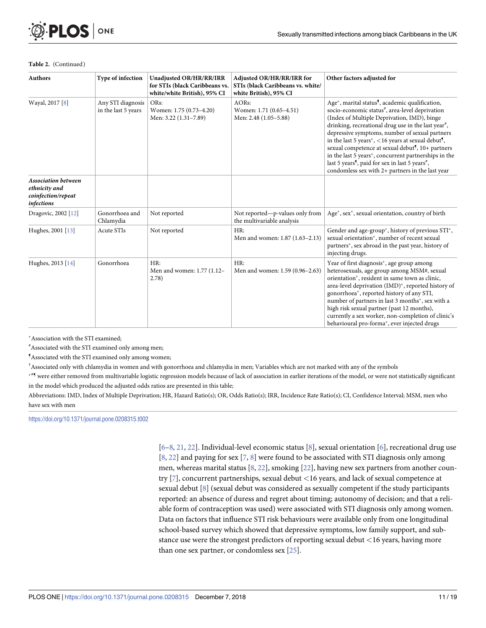#### **Table 2.** (Continued)

| <b>Authors</b>                                                                  | Type of infection                        | Unadjusted OR/HR/RR/IRR<br>for STIs (black Caribbeans vs.<br>white/white British), 95% CI | Adjusted OR/HR/RR/IRR for<br>STIs (black Caribbeans vs. white/<br>white British), 95% CI | Other factors adjusted for                                                                                                                                                                                                                                                                                                                                                                                                                                                                                                                                                                                                                         |
|---------------------------------------------------------------------------------|------------------------------------------|-------------------------------------------------------------------------------------------|------------------------------------------------------------------------------------------|----------------------------------------------------------------------------------------------------------------------------------------------------------------------------------------------------------------------------------------------------------------------------------------------------------------------------------------------------------------------------------------------------------------------------------------------------------------------------------------------------------------------------------------------------------------------------------------------------------------------------------------------------|
| Wayal, 2017 [8]                                                                 | Any STI diagnosis<br>in the last 5 years | ORs:<br>Women: 1.75 (0.73-4.20)<br>Men: 3.22 (1.31-7.89)                                  | AORs:<br>Women: 1.71 (0.65-4.51)<br>Men: 2.48 (1.05-5.88)                                | Age <sup>*</sup> , marital status <sup>5</sup> , academic qualification,<br>socio-economic status <sup>#</sup> , area-level deprivation<br>(Index of Multiple Deprivation, IMD), binge<br>drinking, recreational drug use in the last year <sup>#</sup> ,<br>depressive symptoms, number of sexual partners<br>in the last 5 years <sup>*</sup> , <16 years at sexual debut <sup>9</sup> ,<br>sexual competence at sexual debut <sup>5</sup> , 10+ partners<br>in the last 5 years*, concurrent partnerships in the<br>last 5 years <sup>5</sup> , paid for sex in last 5 years <sup>#</sup> ,<br>condomless sex with 2+ partners in the last year |
| <b>Association between</b><br>ethnicity and<br>coinfection/repeat<br>infections |                                          |                                                                                           |                                                                                          |                                                                                                                                                                                                                                                                                                                                                                                                                                                                                                                                                                                                                                                    |
| Dragovic, 2002 [12]                                                             | Gonorrhoea and<br>Chlamydia              | Not reported                                                                              | Not reported—p-values only from<br>the multivariable analysis                            | Age*, sex*, sexual orientation, country of birth                                                                                                                                                                                                                                                                                                                                                                                                                                                                                                                                                                                                   |
| Hughes, 2001 [13]                                                               | Acute STIs                               | Not reported                                                                              | HR:<br>Men and women: 1.87 (1.63-2.13)                                                   | Gender and age-group <sup>*</sup> , history of previous STI <sup>*</sup> ,<br>sexual orientation*, number of recent sexual<br>partners*, sex abroad in the past year, history of<br>injecting drugs.                                                                                                                                                                                                                                                                                                                                                                                                                                               |
| Hughes, 2013 [14]                                                               | Gonorrhoea                               | HR:<br>Men and women: 1.77 (1.12-<br>2.78)                                                | HR:<br>Men and women: 1.59 (0.96-2.63)                                                   | Year of first diagnosis*, age group among<br>heterosexuals, age group among MSM#, sexual<br>orientation*, resident in same town as clinic,<br>area-level deprivation (IMD)*, reported history of<br>gonorrhoea*, reported history of any STI,<br>number of partners in last 3 months*, sex with a<br>high risk sexual partner (past 12 months),<br>currently a sex worker, non-completion of clinic's<br>behavioural pro-forma <sup>*</sup> , ever injected drugs                                                                                                                                                                                  |

�Association with the STI examined;

# Associated with the STI examined only among men;

¶ Associated with the STI examined only among women;

† Associated only with chlamydia in women and with gonorrhoea and chlamydia in men; Variables which are not marked with any of the symbols

\*\*5 were either removed from multivariable logistic regression models because of lack of association in earlier iterations of the model, or were not statistically significant in the model which produced the adjusted odds ratios are presented in this table;

Abbreviations: IMD, Index of Multiple Deprivation; HR, Hazard Ratio(s); OR, Odds Ratio(s); IRR, Incidence Rate Ratio(s); CI, Confidence Interval; MSM, men who have sex with men

<https://doi.org/10.1371/journal.pone.0208315.t002>

[\[6–8](#page-17-0), [21](#page-17-0), [22](#page-18-0)]. Individual-level economic status [[8\]](#page-17-0), sexual orientation [\[6](#page-17-0)], recreational drug use  $[8, 22]$  $[8, 22]$  $[8, 22]$  $[8, 22]$  and paying for sex  $[7, 8]$  $[7, 8]$  $[7, 8]$  $[7, 8]$  were found to be associated with STI diagnosis only among men, whereas marital status [[8](#page-17-0), [22](#page-18-0)], smoking [\[22\]](#page-18-0), having new sex partners from another country [[7\]](#page-17-0), concurrent partnerships, sexual debut *<*16 years, and lack of sexual competence at sexual debut [\[8\]](#page-17-0) (sexual debut was considered as sexually competent if the study participants reported: an absence of duress and regret about timing; autonomy of decision; and that a reliable form of contraception was used) were associated with STI diagnosis only among women. Data on factors that influence STI risk behaviours were available only from one longitudinal school-based survey which showed that depressive symptoms, low family support, and substance use were the strongest predictors of reporting sexual debut *<*16 years, having more than one sex partner, or condomless sex [[25](#page-18-0)].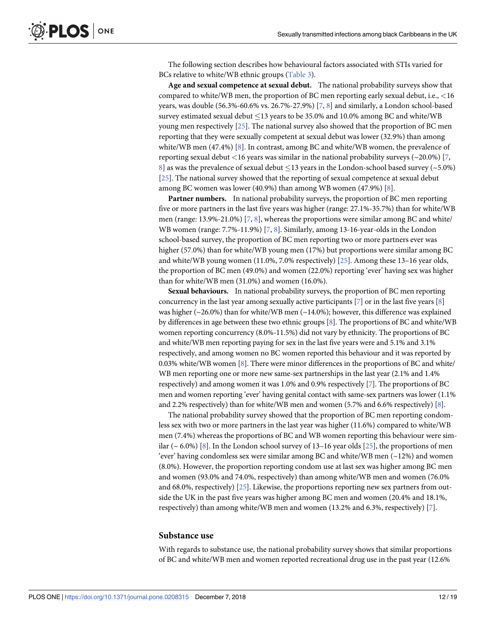<span id="page-11-0"></span>The following section describes how behavioural factors associated with STIs varied for BCs relative to white/WB ethnic groups [\(Table](#page-12-0) 3).

**Age and sexual competence at sexual debut.** The national probability surveys show that compared to white/WB men, the proportion of BC men reporting early sexual debut, i.e., *<*16 years, was double (56.3%-60.6% vs. 26.7%-27.9%) [\[7,](#page-17-0) [8](#page-17-0)] and similarly, a London school-based survey estimated sexual debut  $\leq$ 13 years to be 35.0% and 10.0% among BC and white/WB young men respectively [[25](#page-18-0)]. The national survey also showed that the proportion of BC men reporting that they were sexually competent at sexual debut was lower (32.9%) than among white/WB men (47.4%) [[8](#page-17-0)]. In contrast, among BC and white/WB women, the prevalence of reporting sexual debut *<*16 years was similar in the national probability surveys (~20.0%) [[7,](#page-17-0) [8\]](#page-17-0) as was the prevalence of sexual debut  $\leq$ 13 years in the London-school based survey ( $\sim$  5.0%) [\[25\]](#page-18-0). The national survey showed that the reporting of sexual competence at sexual debut among BC women was lower (40.9%) than among WB women (47.9%) [[8](#page-17-0)].

**Partner numbers.** In national probability surveys, the proportion of BC men reporting five or more partners in the last five years was higher (range: 27.1%-35.7%) than for white/WB men (range:  $13.9\% - 21.0\%$ ) [\[7,](#page-17-0) [8](#page-17-0)], whereas the proportions were similar among BC and white/ WB women (range: 7.7%-11.9%) [[7,](#page-17-0) [8\]](#page-17-0). Similarly, among 13-16-year-olds in the London school-based survey, the proportion of BC men reporting two or more partners ever was higher (57.0%) than for white/WB young men (17%) but proportions were similar among BC and white/WB young women (11.0%, 7.0% respectively) [[25](#page-18-0)]. Among these 13–16 year olds, the proportion of BC men (49.0%) and women (22.0%) reporting 'ever' having sex was higher than for white/WB men (31.0%) and women (16.0%).

**Sexual behaviours.** In national probability surveys, the proportion of BC men reporting concurrency in the last year among sexually active participants  $[7]$  $[7]$  $[7]$  or in the last five years  $[8]$ was higher ( $\sim$ 26.0%) than for white/WB men ( $\sim$ 14.0%); however, this difference was explained by differences in age between these two ethnic groups [[8](#page-17-0)]. The proportions of BC and white/WB women reporting concurrency (8.0%-11.5%) did not vary by ethnicity. The proportions of BC and white/WB men reporting paying for sex in the last five years were and 5.1% and 3.1% respectively, and among women no BC women reported this behaviour and it was reported by 0.03% white/WB women [\[8\]](#page-17-0). There were minor differences in the proportions of BC and white/ WB men reporting one or more new same-sex partnerships in the last year (2.1% and 1.4% respectively) and among women it was 1.0% and 0.9% respectively [[7](#page-17-0)]. The proportions of BC men and women reporting 'ever' having genital contact with same-sex partners was lower (1.1% and 2.2% respectively) than for white/WB men and women (5.7% and 6.6% respectively) [\[8\]](#page-17-0).

The national probability survey showed that the proportion of BC men reporting condomless sex with two or more partners in the last year was higher (11.6%) compared to white/WB men (7.4%) whereas the proportions of BC and WB women reporting this behaviour were similar ( $\sim$  6.0%) [\[8\]](#page-17-0). In the London school survey of 13–16 year olds [[25](#page-18-0)], the proportions of men 'ever' having condomless sex were similar among BC and white/WB men (~12%) and women (8.0%). However, the proportion reporting condom use at last sex was higher among BC men and women (93.0% and 74.0%, respectively) than among white/WB men and women (76.0% and 68.0%, respectively) [\[25\]](#page-18-0). Likewise, the proportions reporting new sex partners from outside the UK in the past five years was higher among BC men and women (20.4% and 18.1%, respectively) than among white/WB men and women (13.2% and 6.3%, respectively) [[7](#page-17-0)].

#### **Substance use**

With regards to substance use, the national probability survey shows that similar proportions of BC and white/WB men and women reported recreational drug use in the past year (12.6%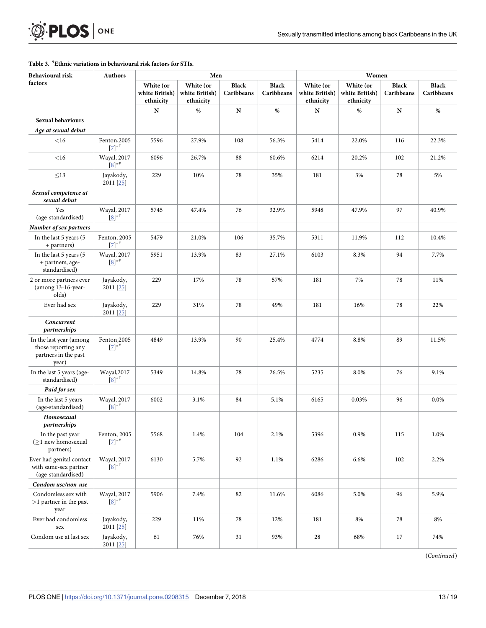#### <span id="page-12-0"></span>**[Table](#page-11-0) 3. § Ethnic variations in behavioural risk factors for STIs.**

| Behavioural risk                                                                | <b>Authors</b>             | Men                                      |                                          |                            |                            | Women                                    |                                          |                            |                            |
|---------------------------------------------------------------------------------|----------------------------|------------------------------------------|------------------------------------------|----------------------------|----------------------------|------------------------------------------|------------------------------------------|----------------------------|----------------------------|
| factors                                                                         |                            | White (or<br>white British)<br>ethnicity | White (or<br>white British)<br>ethnicity | <b>Black</b><br>Caribbeans | <b>Black</b><br>Caribbeans | White (or<br>white British)<br>ethnicity | White (or<br>white British)<br>ethnicity | <b>Black</b><br>Caribbeans | <b>Black</b><br>Caribbeans |
|                                                                                 |                            | N                                        | $\%$                                     | ${\bf N}$                  | $\%$                       | N                                        | $\%$                                     | N                          | $\%$                       |
| <b>Sexual behaviours</b>                                                        |                            |                                          |                                          |                            |                            |                                          |                                          |                            |                            |
| Age at sexual debut                                                             |                            |                                          |                                          |                            |                            |                                          |                                          |                            |                            |
| $<$ 16                                                                          | Fenton, 2005<br>$[7]^{*#}$ | 5596                                     | 27.9%                                    | 108                        | 56.3%                      | 5414                                     | 22.0%                                    | 116                        | 22.3%                      |
| $<$ 16                                                                          | Wayal, 2017<br>$[8]^{*}$   | 6096                                     | 26.7%                                    | 88                         | 60.6%                      | 6214                                     | 20.2%                                    | 102                        | 21.2%                      |
| $\leq$ 13                                                                       | Jayakody,<br>2011 [25]     | 229                                      | 10%                                      | 78                         | 35%                        | 181                                      | 3%                                       | 78                         | 5%                         |
| Sexual competence at<br>sexual debut                                            |                            |                                          |                                          |                            |                            |                                          |                                          |                            |                            |
| Yes<br>(age-standardised)                                                       | Wayal, 2017<br>$[8]^{*}$   | 5745                                     | 47.4%                                    | 76                         | 32.9%                      | 5948                                     | 47.9%                                    | 97                         | 40.9%                      |
| Number of sex partners                                                          |                            |                                          |                                          |                            |                            |                                          |                                          |                            |                            |
| In the last 5 years (5<br>+ partners)                                           | Fenton, 2005<br>$[7]*$     | 5479                                     | 21.0%                                    | 106                        | 35.7%                      | 5311                                     | 11.9%                                    | 112                        | 10.4%                      |
| In the last 5 years (5<br>+ partners, age-<br>standardised)                     | Wayal, 2017<br>$[8]^{*}$   | 5951                                     | 13.9%                                    | 83                         | 27.1%                      | 6103                                     | 8.3%                                     | 94                         | 7.7%                       |
| 2 or more partners ever<br>(among 13-16-year-<br>olds)                          | Jayakody,<br>2011 [25]     | 229                                      | 17%                                      | 78                         | 57%                        | 181                                      | 7%                                       | 78                         | 11%                        |
| Ever had sex                                                                    | Jayakody,<br>2011 [25]     | 229                                      | 31%                                      | 78                         | 49%                        | 181                                      | 16%                                      | 78                         | 22%                        |
| Concurrent<br>partnerships                                                      |                            |                                          |                                          |                            |                            |                                          |                                          |                            |                            |
| In the last year (among<br>those reporting any<br>partners in the past<br>year) | Fenton, 2005<br>$[7]*$     | 4849                                     | 13.9%                                    | 90                         | 25.4%                      | 4774                                     | 8.8%                                     | 89                         | 11.5%                      |
| In the last 5 years (age-<br>standardised)                                      | Wayal, 2017<br>$[8]^{*}$   | 5349                                     | 14.8%                                    | 78                         | 26.5%                      | 5235                                     | 8.0%                                     | 76                         | 9.1%                       |
| Paid for sex                                                                    |                            |                                          |                                          |                            |                            |                                          |                                          |                            |                            |
| In the last 5 years<br>(age-standardised)                                       | Wayal, 2017<br>$[8]$ *#    | 6002                                     | 3.1%                                     | 84                         | 5.1%                       | 6165                                     | 0.03%                                    | 96                         | 0.0%                       |
| Homosexual<br>partnerships                                                      |                            |                                          |                                          |                            |                            |                                          |                                          |                            |                            |
| In the past year<br>$(\geq)$ new homosexual<br>partners)                        | Fenton, 2005<br>$[7]*$     | 5568                                     | 1.4%                                     | 104                        | 2.1%                       | 5396                                     | 0.9%                                     | 115                        | 1.0%                       |
| Ever had genital contact<br>with same-sex partner<br>(age-standardised)         | Wayal, 2017<br>$[8]^{*}$   | 6130                                     | 5.7%                                     | 92                         | 1.1%                       | 6286                                     | 6.6%                                     | 102                        | 2.2%                       |
| Condom use/non-use                                                              |                            |                                          |                                          |                            |                            |                                          |                                          |                            |                            |
| Condomless sex with<br>$>1$ partner in the past<br>year                         | Wayal, 2017<br>$[8]$ *#    | 5906                                     | 7.4%                                     | 82                         | 11.6%                      | 6086                                     | 5.0%                                     | 96                         | 5.9%                       |
| Ever had condomless<br>sex                                                      | Jayakody,<br>2011 [25]     | 229                                      | 11%                                      | 78                         | 12%                        | 181                                      | 8%                                       | 78                         | 8%                         |
| Condom use at last sex                                                          | Jayakody,<br>2011 [25]     | 61                                       | 76%                                      | $31\,$                     | 93%                        | 28                                       | 68%                                      | 17                         | 74%                        |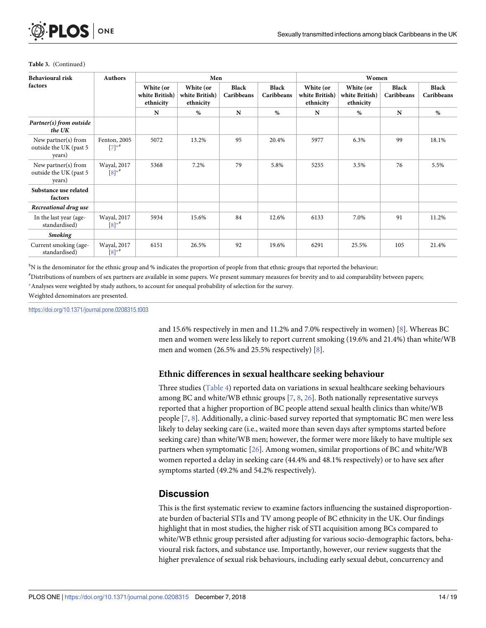| <b>Behavioural risk</b>                                 | <b>Authors</b>                      | Men                                      |                                          |                            |                     | Women                                    |                                          |                            |                            |
|---------------------------------------------------------|-------------------------------------|------------------------------------------|------------------------------------------|----------------------------|---------------------|------------------------------------------|------------------------------------------|----------------------------|----------------------------|
| factors                                                 |                                     | White (or<br>white British)<br>ethnicity | White (or<br>white British)<br>ethnicity | <b>Black</b><br>Caribbeans | Black<br>Caribbeans | White (or<br>white British)<br>ethnicity | White (or<br>white British)<br>ethnicity | <b>Black</b><br>Caribbeans | <b>Black</b><br>Caribbeans |
|                                                         |                                     | N                                        | %                                        | N                          | %                   | N                                        | %                                        | N                          | %                          |
| Partner(s) from outside<br>the UK                       |                                     |                                          |                                          |                            |                     |                                          |                                          |                            |                            |
| New partner(s) from<br>outside the UK (past 5<br>years) | Fenton, 2005<br>$[7]$ **            | 5072                                     | 13.2%                                    | 95                         | 20.4%               | 5977                                     | 6.3%                                     | 99                         | 18.1%                      |
| New partner(s) from<br>outside the UK (past 5<br>years) | Wayal, 2017<br>$[8]$ * <sup>#</sup> | 5368                                     | 7.2%                                     | 79                         | 5.8%                | 5255                                     | 3.5%                                     | 76                         | 5.5%                       |
| Substance use related<br>factors                        |                                     |                                          |                                          |                            |                     |                                          |                                          |                            |                            |
| Recreational drug use                                   |                                     |                                          |                                          |                            |                     |                                          |                                          |                            |                            |
| In the last year (age-<br>standardised)                 | Wayal, 2017<br>$[8]$ <sup>*#</sup>  | 5934                                     | 15.6%                                    | 84                         | 12.6%               | 6133                                     | 7.0%                                     | 91                         | 11.2%                      |
| <b>Smoking</b>                                          |                                     |                                          |                                          |                            |                     |                                          |                                          |                            |                            |
| Current smoking (age-<br>standardised)                  | Wayal, 2017<br>$[8]^{*}$            | 6151                                     | 26.5%                                    | 92                         | 19.6%               | 6291                                     | 25.5%                                    | 105                        | 21.4%                      |

#### <span id="page-13-0"></span>**Table 3.** (Continued)

§ N is the denominator for the ethnic group and % indicates the proportion of people from that ethnic groups that reported the behaviour;

# Distributions of numbers of sex partners are available in some papers. We present summary measures for brevity and to aid comparability between papers; \* Analyses were weighted by study authors, to account for unequal probability of selection for the survey.

Weighted denominators are presented.

<https://doi.org/10.1371/journal.pone.0208315.t003>

and 15.6% respectively in men and 11.2% and 7.0% respectively in women) [\[8](#page-17-0)]. Whereas BC men and women were less likely to report current smoking (19.6% and 21.4%) than white/WB men and women (26.5% and 25.5% respectively) [\[8](#page-17-0)].

# **Ethnic differences in sexual healthcare seeking behaviour**

Three studies [\(Table](#page-14-0) 4) reported data on variations in sexual healthcare seeking behaviours among BC and white/WB ethnic groups [\[7,](#page-17-0) [8,](#page-17-0) [26\]](#page-18-0). Both nationally representative surveys reported that a higher proportion of BC people attend sexual health clinics than white/WB people  $[7, 8]$  $[7, 8]$  $[7, 8]$  $[7, 8]$ . Additionally, a clinic-based survey reported that symptomatic BC men were less likely to delay seeking care (i.e., waited more than seven days after symptoms started before seeking care) than white/WB men; however, the former were more likely to have multiple sex partners when symptomatic [\[26\]](#page-18-0). Among women, similar proportions of BC and white/WB women reported a delay in seeking care (44.4% and 48.1% respectively) or to have sex after symptoms started (49.2% and 54.2% respectively).

# **Discussion**

This is the first systematic review to examine factors influencing the sustained disproportionate burden of bacterial STIs and TV among people of BC ethnicity in the UK. Our findings highlight that in most studies, the higher risk of STI acquisition among BCs compared to white/WB ethnic group persisted after adjusting for various socio-demographic factors, behavioural risk factors, and substance use. Importantly, however, our review suggests that the higher prevalence of sexual risk behaviours, including early sexual debut, concurrency and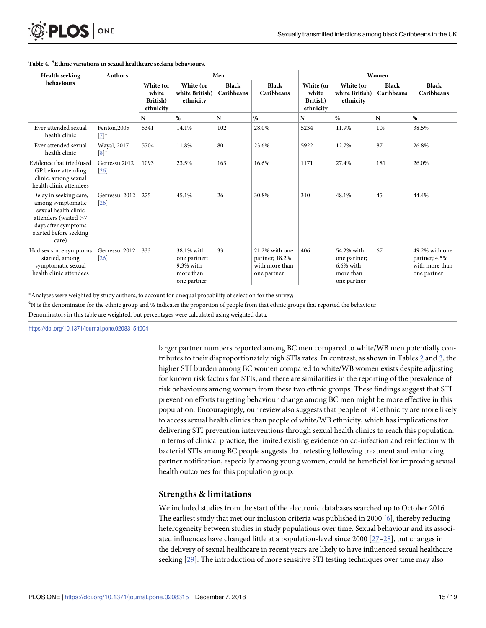<span id="page-14-0"></span>

| <b>D.PLOS</b> ONE |  |
|-------------------|--|
|-------------------|--|

| <b>Health seeking</b>                                                                                                                                 | <b>Authors</b>                      | Men                                         |                                                                     |                            |                                                                   | Women                                       |                                                                        |                            |                                                                  |
|-------------------------------------------------------------------------------------------------------------------------------------------------------|-------------------------------------|---------------------------------------------|---------------------------------------------------------------------|----------------------------|-------------------------------------------------------------------|---------------------------------------------|------------------------------------------------------------------------|----------------------------|------------------------------------------------------------------|
| <b>behaviours</b>                                                                                                                                     |                                     | White (or<br>white<br>British)<br>ethnicity | White (or<br>white British)<br>ethnicity                            | <b>Black</b><br>Caribbeans | Black<br>Caribbeans                                               | White (or<br>white<br>British)<br>ethnicity | White (or<br>white British)<br>ethnicity                               | <b>Black</b><br>Caribbeans | <b>Black</b><br><b>Caribbeans</b>                                |
|                                                                                                                                                       |                                     | N                                           | %                                                                   | N                          | $\%$                                                              | N                                           | %                                                                      | N                          | $\%$                                                             |
| Ever attended sexual<br>health clinic                                                                                                                 | Fenton, 2005<br>$[7]^*$             | 5341                                        | 14.1%                                                               | 102                        | 28.0%                                                             | 5234                                        | 11.9%                                                                  | 109                        | 38.5%                                                            |
| Ever attended sexual<br>health clinic                                                                                                                 | Wayal, 2017<br>$[8]^*$              | 5704                                        | 11.8%                                                               | 80                         | 23.6%                                                             | 5922                                        | 12.7%                                                                  | 87                         | 26.8%                                                            |
| Evidence that tried/used<br>GP before attending<br>clinic, among sexual<br>health clinic attendees                                                    | Gerressu, 2012<br>$\left[26\right]$ | 1093                                        | 23.5%                                                               | 163                        | 16.6%                                                             | 1171                                        | 27.4%                                                                  | 181                        | 26.0%                                                            |
| Delay in seeking care,<br>among symptomatic<br>sexual health clinic<br>attenders (waited >7<br>days after symptoms<br>started before seeking<br>care) | Gerressu, 2012<br>$\left[26\right]$ | 275                                         | 45.1%                                                               | 26                         | 30.8%                                                             | 310                                         | 48.1%                                                                  | 45                         | 44.4%                                                            |
| Had sex since symptoms<br>started, among<br>symptomatic sexual<br>health clinic attendees                                                             | Gerressu, 2012<br>26                | 333                                         | 38.1% with<br>one partner;<br>9.3% with<br>more than<br>one partner | 33                         | 21.2% with one<br>partner; 18.2%<br>with more than<br>one partner | 406                                         | 54.2% with<br>one partner;<br>$6.6\%$ with<br>more than<br>one partner | 67                         | 49.2% with one<br>partner; 4.5%<br>with more than<br>one partner |

#### **[Table](#page-13-0) 4. § Ethnic variations in sexual healthcare seeking behaviours.**

�Analyses were weighted by study authors, to account for unequal probability of selection for the survey;

§ N is the denominator for the ethnic group and % indicates the proportion of people from that ethnic groups that reported the behaviour.

Denominators in this table are weighted, but percentages were calculated using weighted data.

<https://doi.org/10.1371/journal.pone.0208315.t004>

larger partner numbers reported among BC men compared to white/WB men potentially contributes to their disproportionately high STIs rates. In contrast, as shown in Tables [2](#page-9-0) and [3](#page-12-0), the higher STI burden among BC women compared to white/WB women exists despite adjusting for known risk factors for STIs, and there are similarities in the reporting of the prevalence of risk behaviours among women from these two ethnic groups. These findings suggest that STI prevention efforts targeting behaviour change among BC men might be more effective in this population. Encouragingly, our review also suggests that people of BC ethnicity are more likely to access sexual health clinics than people of white/WB ethnicity, which has implications for delivering STI prevention interventions through sexual health clinics to reach this population. In terms of clinical practice, the limited existing evidence on co-infection and reinfection with bacterial STIs among BC people suggests that retesting following treatment and enhancing partner notification, especially among young women, could be beneficial for improving sexual health outcomes for this population group.

# **Strengths & limitations**

We included studies from the start of the electronic databases searched up to October 2016. The earliest study that met our inclusion criteria was published in 2000 [\[6\]](#page-17-0), thereby reducing heterogeneity between studies in study populations over time. Sexual behaviour and its associated influences have changed little at a population-level since 2000 [[27–28\]](#page-18-0), but changes in the delivery of sexual healthcare in recent years are likely to have influenced sexual healthcare seeking [\[29\]](#page-18-0). The introduction of more sensitive STI testing techniques over time may also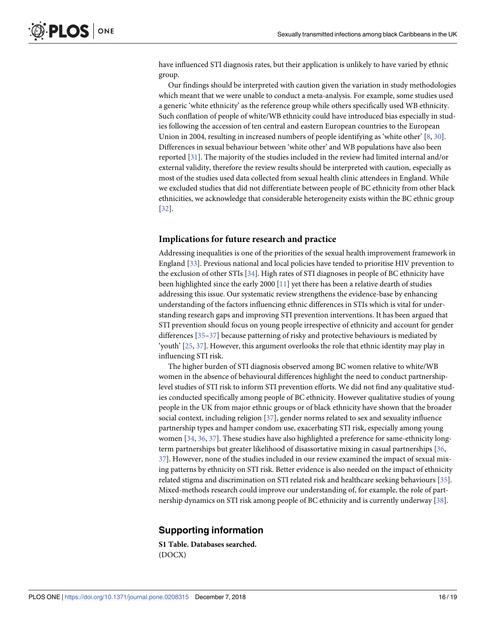<span id="page-15-0"></span>have influenced STI diagnosis rates, but their application is unlikely to have varied by ethnic group.

Our findings should be interpreted with caution given the variation in study methodologies which meant that we were unable to conduct a meta-analysis. For example, some studies used a generic 'white ethnicity' as the reference group while others specifically used WB ethnicity. Such conflation of people of white/WB ethnicity could have introduced bias especially in studies following the accession of ten central and eastern European countries to the European Union in 2004, resulting in increased numbers of people identifying as 'white other' [[8](#page-17-0), [30](#page-18-0)]. Differences in sexual behaviour between 'white other' and WB populations have also been reported [\[31\]](#page-18-0). The majority of the studies included in the review had limited internal and/or external validity, therefore the review results should be interpreted with caution, especially as most of the studies used data collected from sexual health clinic attendees in England. While we excluded studies that did not differentiate between people of BC ethnicity from other black ethnicities, we acknowledge that considerable heterogeneity exists within the BC ethnic group [\[32\]](#page-18-0).

#### **Implications for future research and practice**

Addressing inequalities is one of the priorities of the sexual health improvement framework in England [\[33](#page-18-0)]. Previous national and local policies have tended to prioritise HIV prevention to the exclusion of other STIs [[34](#page-18-0)]. High rates of STI diagnoses in people of BC ethnicity have been highlighted since the early 2000 [\[11\]](#page-17-0) yet there has been a relative dearth of studies addressing this issue. Our systematic review strengthens the evidence-base by enhancing understanding of the factors influencing ethnic differences in STIs which is vital for understanding research gaps and improving STI prevention interventions. It has been argued that STI prevention should focus on young people irrespective of ethnicity and account for gender differences [35-37] because patterning of risky and protective behaviours is mediated by 'youth' [\[25,](#page-18-0) [37\]](#page-18-0). However, this argument overlooks the role that ethnic identity may play in influencing STI risk.

The higher burden of STI diagnosis observed among BC women relative to white/WB women in the absence of behavioural differences highlight the need to conduct partnershiplevel studies of STI risk to inform STI prevention efforts. We did not find any qualitative studies conducted specifically among people of BC ethnicity. However qualitative studies of young people in the UK from major ethnic groups or of black ethnicity have shown that the broader social context, including religion [[37](#page-18-0)], gender norms related to sex and sexuality influence partnership types and hamper condom use, exacerbating STI risk, especially among young women [\[34,](#page-18-0) [36,](#page-18-0) [37\]](#page-18-0). These studies have also highlighted a preference for same-ethnicity longterm partnerships but greater likelihood of disassortative mixing in casual partnerships [\[36,](#page-18-0) [37\]](#page-18-0). However, none of the studies included in our review examined the impact of sexual mixing patterns by ethnicity on STI risk. Better evidence is also needed on the impact of ethnicity related stigma and discrimination on STI related risk and healthcare seeking behaviours [[35](#page-18-0)]. Mixed-methods research could improve our understanding of, for example, the role of partnership dynamics on STI risk among people of BC ethnicity and is currently underway [[38](#page-18-0)].

# **Supporting information**

**S1 [Table.](http://www.plosone.org/article/fetchSingleRepresentation.action?uri=info:doi/10.1371/journal.pone.0208315.s001) Databases searched.** (DOCX)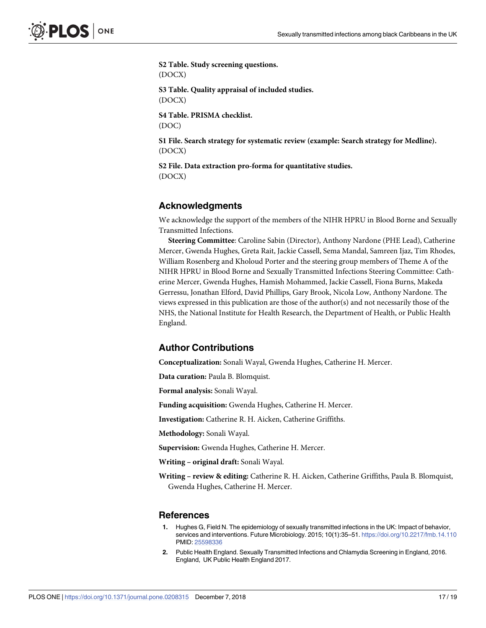<span id="page-16-0"></span>**S2 [Table.](http://www.plosone.org/article/fetchSingleRepresentation.action?uri=info:doi/10.1371/journal.pone.0208315.s002) Study screening questions.** (DOCX) **S3 [Table.](http://www.plosone.org/article/fetchSingleRepresentation.action?uri=info:doi/10.1371/journal.pone.0208315.s003) Quality appraisal of included studies.** (DOCX) **S4 [Table.](http://www.plosone.org/article/fetchSingleRepresentation.action?uri=info:doi/10.1371/journal.pone.0208315.s004) PRISMA checklist.** (DOC) **S1 [File.](http://www.plosone.org/article/fetchSingleRepresentation.action?uri=info:doi/10.1371/journal.pone.0208315.s005) Search strategy for systematic review (example: Search strategy for Medline).** (DOCX)

**S2 [File.](http://www.plosone.org/article/fetchSingleRepresentation.action?uri=info:doi/10.1371/journal.pone.0208315.s006) Data extraction pro-forma for quantitative studies.** (DOCX)

# **Acknowledgments**

We acknowledge the support of the members of the NIHR HPRU in Blood Borne and Sexually Transmitted Infections.

**Steering Committee**: Caroline Sabin (Director), Anthony Nardone (PHE Lead), Catherine Mercer, Gwenda Hughes, Greta Rait, Jackie Cassell, Sema Mandal, Samreen Ijaz, Tim Rhodes, William Rosenberg and Kholoud Porter and the steering group members of Theme A of the NIHR HPRU in Blood Borne and Sexually Transmitted Infections Steering Committee: Catherine Mercer, Gwenda Hughes, Hamish Mohammed, Jackie Cassell, Fiona Burns, Makeda Gerressu, Jonathan Elford, David Phillips, Gary Brook, Nicola Low, Anthony Nardone. The views expressed in this publication are those of the author(s) and not necessarily those of the NHS, the National Institute for Health Research, the Department of Health, or Public Health England.

# **Author Contributions**

**Conceptualization:** Sonali Wayal, Gwenda Hughes, Catherine H. Mercer.

**Data curation:** Paula B. Blomquist.

**Formal analysis:** Sonali Wayal.

**Funding acquisition:** Gwenda Hughes, Catherine H. Mercer.

**Investigation:** Catherine R. H. Aicken, Catherine Griffiths.

**Methodology:** Sonali Wayal.

**Supervision:** Gwenda Hughes, Catherine H. Mercer.

**Writing – original draft:** Sonali Wayal.

**Writing – review & editing:** Catherine R. H. Aicken, Catherine Griffiths, Paula B. Blomquist, Gwenda Hughes, Catherine H. Mercer.

# **References**

- **[1](#page-1-0).** Hughes G, Field N. The epidemiology of sexually transmitted infections in the UK: Impact of behavior, services and interventions. Future Microbiology. 2015; 10(1):35–51. <https://doi.org/10.2217/fmb.14.110> PMID: [25598336](http://www.ncbi.nlm.nih.gov/pubmed/25598336)
- **[2](#page-1-0).** Public Health England. Sexually Transmitted Infections and Chlamydia Screening in England, 2016. England, UK Public Health England 2017.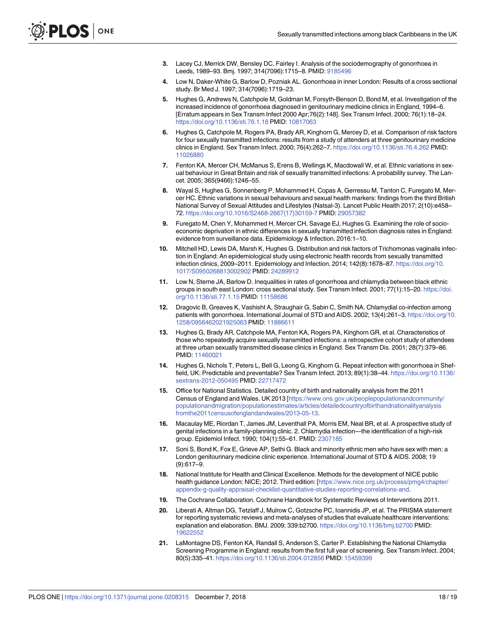- <span id="page-17-0"></span>**[3](#page-1-0).** Lacey CJ, Merrick DW, Bensley DC, Fairley I. Analysis of the sociodemography of gonorrhoea in Leeds, 1989–93. Bmj. 1997; 314(7096):1715–8. PMID: [9185496](http://www.ncbi.nlm.nih.gov/pubmed/9185496)
- **[4](#page-1-0).** Low N, Daker-White G, Barlow D, Pozniak AL. Gonorrhoea in inner London: Results of a cross sectional study. Br Med J. 1997; 314(7096):1719–23.
- **[5](#page-1-0).** Hughes G, Andrews N, Catchpole M, Goldman M, Forsyth-Benson D, Bond M, et al. Investigation of the increased incidence of gonorrhoea diagnosed in genitourinary medicine clinics in England, 1994–6. [Erratum appears in Sex Transm Infect 2000 Apr;76(2):148]. Sex Transm Infect. 2000; 76(1):18–24. <https://doi.org/10.1136/sti.76.1.18> PMID: [10817063](http://www.ncbi.nlm.nih.gov/pubmed/10817063)
- **[6](#page-1-0).** Hughes G, Catchpole M, Rogers PA, Brady AR, Kinghorn G, Mercey D, et al. Comparison of risk factors for four sexually transmitted infections: results from a study of attenders at three genitourinary medicine clinics in England. Sex Transm Infect. 2000; 76(4):262–7. <https://doi.org/10.1136/sti.76.4.262> PMID: [11026880](http://www.ncbi.nlm.nih.gov/pubmed/11026880)
- **[7](#page-1-0).** Fenton KA, Mercer CH, McManus S, Erens B, Wellings K, Macdowall W, et al. Ethnic variations in sexual behaviour in Great Britain and risk of sexually transmitted infections: A probability survey. The Lancet. 2005; 365(9466):1246–55.
- **[8](#page-1-0).** Wayal S, Hughes G, Sonnenberg P, Mohammed H, Copas A, Gerressu M, Tanton C, Furegato M, Mercer HC. Ethnic variations in sexual behaviours and sexual health markers: findings from the third British National Survey of Sexual Attitudes and Lifestyles (Natsal-3). Lancet Public Health 2017; 2(10):e458– 72. [https://doi.org/10.1016/S2468-2667\(17\)30159-7](https://doi.org/10.1016/S2468-2667(17)30159-7) PMID: [29057382](http://www.ncbi.nlm.nih.gov/pubmed/29057382)
- **[9](#page-1-0).** Furegato M, Chen Y, Mohammed H, Mercer CH, Savage EJ, Hughes G. Examining the role of socioeconomic deprivation in ethnic differences in sexually transmitted infection diagnosis rates in England: evidence from surveillance data. Epidemiology & Infection. 2016:1–10.
- **[10](#page-1-0).** Mitchell HD, Lewis DA, Marsh K, Hughes G. Distribution and risk factors of Trichomonas vaginalis infection in England: An epidemiological study using electronic health records from sexually transmitted infection clinics, 2009–2011. Epidemiology and Infection. 2014; 142(8):1678–87. [https://doi.org/10.](https://doi.org/10.1017/S0950268813002902) [1017/S0950268813002902](https://doi.org/10.1017/S0950268813002902) PMID: [24289912](http://www.ncbi.nlm.nih.gov/pubmed/24289912)
- **[11](#page-1-0).** Low N, Sterne JA, Barlow D. Inequalities in rates of gonorrhoea and chlamydia between black ethnic groups in south east London: cross sectional study. Sex Transm Infect. 2001; 77(1):15–20. [https://doi.](https://doi.org/10.1136/sti.77.1.15) [org/10.1136/sti.77.1.15](https://doi.org/10.1136/sti.77.1.15) PMID: [11158686](http://www.ncbi.nlm.nih.gov/pubmed/11158686)
- **[12](#page-1-0).** Dragovic B, Greaves K, Vashisht A, Straughair G, Sabin C, Smith NA. Chlamydial co-infection among patients with gonorrhoea. International Journal of STD and AIDS. 2002; 13(4):261–3. [https://doi.org/10.](https://doi.org/10.1258/0956462021925063) [1258/0956462021925063](https://doi.org/10.1258/0956462021925063) PMID: [11886611](http://www.ncbi.nlm.nih.gov/pubmed/11886611)
- **[13](#page-3-0).** Hughes G, Brady AR, Catchpole MA, Fenton KA, Rogers PA, Kinghorn GR, et al. Characteristics of those who repeatedly acquire sexually transmitted infections: a retrospective cohort study of attendees at three urban sexually transmitted disease clinics in England. Sex Transm Dis. 2001; 28(7):379–86. PMID: [11460021](http://www.ncbi.nlm.nih.gov/pubmed/11460021)
- **[14](#page-1-0).** Hughes G, Nichols T, Peters L, Bell G, Leong G, Kinghorn G. Repeat infection with gonorrhoea in Sheffield, UK: Predictable and preventable? Sex Transm Infect. 2013; 89(1):38–44. [https://doi.org/10.1136/](https://doi.org/10.1136/sextrans-2012-050495) [sextrans-2012-050495](https://doi.org/10.1136/sextrans-2012-050495) PMID: [22717472](http://www.ncbi.nlm.nih.gov/pubmed/22717472)
- **[15](#page-1-0).** Office for National Statistics. Detailed country of birth and nationality analysis from the 2011 Census of England and Wales. UK 2013 [[https://www.ons.gov.uk/peoplepopulationandcommunity/](https://www.ons.gov.uk/peoplepopulationandcommunity/populationandmigration/populationestimates/articles/detailedcountryofbirthandnationalityanalysisfromthe2011censusofenglandandwales/2013-05-13) [populationandmigration/populationestimates/articles/detailedcountryofbirthandnationalityanalysis](https://www.ons.gov.uk/peoplepopulationandcommunity/populationandmigration/populationestimates/articles/detailedcountryofbirthandnationalityanalysisfromthe2011censusofenglandandwales/2013-05-13) [fromthe2011censusofenglandandwales/2013-05-13.](https://www.ons.gov.uk/peoplepopulationandcommunity/populationandmigration/populationestimates/articles/detailedcountryofbirthandnationalityanalysisfromthe2011censusofenglandandwales/2013-05-13)
- **[16](#page-2-0).** Macaulay ME, Riordan T, James JM, Leventhall PA, Morris EM, Neal BR, et al. A prospective study of genital infections in a family-planning clinic. 2. Chlamydia infection—the identification of a high-risk group. Epidemiol Infect. 1990; 104(1):55–61. PMID: [2307185](http://www.ncbi.nlm.nih.gov/pubmed/2307185)
- **[17](#page-2-0).** Soni S, Bond K, Fox E, Grieve AP, Sethi G. Black and minority ethnic men who have sex with men: a London genitourinary medicine clinic experience. International Journal of STD & AIDS. 2008; 19 (9):617–9.
- **[18](#page-2-0).** National Institute for Health and Clinical Excellence. Methods for the development of NICE public health guidance London: NICE; 2012. Third edition: [\[https://www.nice.org.uk/process/pmg4/chapter/](https://www.nice.org.uk/process/pmg4/chapter/appendix-g-quality-appraisal-checklist-quantitative-studies-reporting-correlations-and) [appendix-g-quality-appraisal-checklist-quantitative-studies-reporting-correlations-and](https://www.nice.org.uk/process/pmg4/chapter/appendix-g-quality-appraisal-checklist-quantitative-studies-reporting-correlations-and).
- **[19](#page-3-0).** The Cochrane Collaboration. Cochrane Handbook for Systematic Reviews of Interventions 2011.
- **[20](#page-3-0).** Liberati A, Altman DG, Tetzlaff J, Mulrow C, Gotzsche PC, Ioannidis JP, et al. The PRISMA statement for reporting systematic reviews and meta-analyses of studies that evaluate healthcare interventions: explanation and elaboration. BMJ. 2009; 339:b2700. <https://doi.org/10.1136/bmj.b2700> PMID: [19622552](http://www.ncbi.nlm.nih.gov/pubmed/19622552)
- **[21](#page-3-0).** LaMontagne DS, Fenton KA, Randall S, Anderson S, Carter P. Establishing the National Chlamydia Screening Programme in England: results from the first full year of screening. Sex Transm Infect. 2004; 80(5):335–41. <https://doi.org/10.1136/sti.2004.012856> PMID: [15459399](http://www.ncbi.nlm.nih.gov/pubmed/15459399)